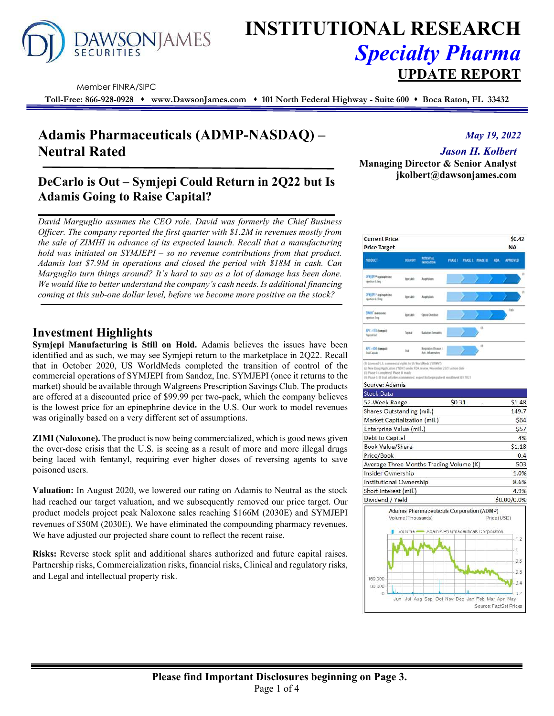

# **INSTITUTIONAL RESEARCH** *Specialty Pharma*  **UPDATE REPORT**

Member FINRA/SIPC

**Toll-Free: 866-928-0928 www.DawsonJames.com 101 North Federal Highway - Suite 600 Boca Raton, FL 33432**

# **Adamis Pharmaceuticals (ADMP-NASDAQ) – Neutral Rated**

#### *May 19, 2022*

*Jason H. Kolbert* 

**Managing Director & Senior Analyst jkolbert@dawsonjames.com** 

### **DeCarlo is Out – Symjepi Could Return in 2Q22 but Is Adamis Going to Raise Capital?**

*David Marguglio assumes the CEO role. David was formerly the Chief Business Officer. The company reported the first quarter with \$1.2M in revenues mostly from the sale of ZIMHI in advance of its expected launch. Recall that a manufacturing hold was initiated on SYMJEPI – so no revenue contributions from that product. Adamis lost \$7.9M in operations and closed the period with \$18M in cash. Can Marguglio turn things around? It's hard to say as a lot of damage has been done. We would like to better understand the company's cash needs. Is additional financing coming at this sub-one dollar level, before we become more positive on the stock?* 

### **Investment Highlights**

**Symjepi Manufacturing is Still on Hold.** Adamis believes the issues have been identified and as such, we may see Symjepi return to the marketplace in 2Q22. Recall that in October 2020, US WorldMeds completed the transition of control of the commercial operations of SYMJEPI from Sandoz, Inc. SYMJEPI (once it returns to the market) should be available through Walgreens Prescription Savings Club. The products are offered at a discounted price of \$99.99 per two-pack, which the company believes is the lowest price for an epinephrine device in the U.S. Our work to model revenues was originally based on a very different set of assumptions.

**ZIMI (Naloxone).** The product is now being commercialized, which is good news given the over-dose crisis that the U.S. is seeing as a result of more and more illegal drugs being laced with fentanyl, requiring ever higher doses of reversing agents to save poisoned users.

**Valuation:** In August 2020, we lowered our rating on Adamis to Neutral as the stock had reached our target valuation, and we subsequently removed our price target. Our product models project peak Naloxone sales reaching \$166M (2030E) and SYMJEPI revenues of \$50M (2030E). We have eliminated the compounding pharmacy revenues. We have adjusted our projected share count to reflect the recent raise.

**Risks:** Reverse stock split and additional shares authorized and future capital raises. Partnership risks, Commercialization risks, financial risks, Clinical and regulatory risks, and Legal and intellectual property risk.

| <b>Current Price</b><br><b>Price Target</b>      |                    |                                                                                          |        |                               |                |             | \$0.42<br><b>NA</b> |
|--------------------------------------------------|--------------------|------------------------------------------------------------------------------------------|--------|-------------------------------|----------------|-------------|---------------------|
| <b>MODUCT</b>                                    | DELIVERY           | POTENTIAL.<br>INDICATION                                                                 |        | FHASE I PHASE II PHASE II NGA |                |             | <b>APPROVED</b>     |
| SYNGEFI* Inginishrine)<br><b>Injection 0.3mg</b> | <b>TEACSURE</b>    | Auginizen                                                                                |        |                               |                |             | (3)                 |
| SYNSEPI* apinephrine)<br><b>Isisten 0.15mg</b>   | <b>Harchalder</b>  | Anghylash                                                                                |        |                               |                |             | m                   |
| ZIMH <sup>*</sup> Indicated<br>Injection Swig    | Ise14Ve            | Operat Overdone                                                                          |        |                               |                |             | (TLZ)               |
| APC-410 dwepab<br>Tapical Cut                    | Topical            | Ratiation Demattix                                                                       |        |                               | O <sub>1</sub> |             |                     |
| APC-400 members<br><b>Did Capiale</b>            | Did                | <b>Beginning Disease /</b><br>Arti-Infannatos                                            |        |                               | (B)            |             |                     |
| 52-Week Range<br>Shares Outstanding (mil.)       |                    |                                                                                          | \$0.31 |                               |                |             | \$1.48<br>149.7     |
|                                                  |                    |                                                                                          |        |                               |                |             |                     |
| Market Capitalization (mil.)                     |                    |                                                                                          |        |                               |                |             | \$64                |
| Enterprise Value (mil.)                          |                    |                                                                                          |        |                               |                |             | \$57                |
| Debt to Capital                                  |                    |                                                                                          |        |                               |                |             | 4%                  |
| <b>Book Value/Share</b>                          |                    |                                                                                          |        |                               |                |             | \$1.18              |
| Price/Book                                       |                    |                                                                                          |        |                               |                |             | 0.4                 |
| Average Three Months Trading Volume (K)          |                    |                                                                                          |        |                               |                |             | 503                 |
| <b>Insider Ownership</b>                         |                    |                                                                                          |        |                               |                |             | 1.0%                |
| Institutional Ownership                          |                    |                                                                                          |        |                               |                |             | 8.6%                |
| Short interest (mil.)                            |                    |                                                                                          |        |                               |                |             | 4.9%                |
| Dividend / Yield                                 |                    |                                                                                          |        |                               |                |             | \$0.00/0.0%         |
|                                                  |                    |                                                                                          |        |                               |                |             |                     |
|                                                  | Volume (Thousands) | Adamis Pharmaceuticals Corporation (ADMP)<br>Volume - Adamis Pharmaceuticals Corporation |        |                               |                | Price (USD) |                     |

Jul Aug Sep Oct Nov Dec Jan Feb Mar Apr

 $0:2$ May

Source: FactSet Price

160,000 80,000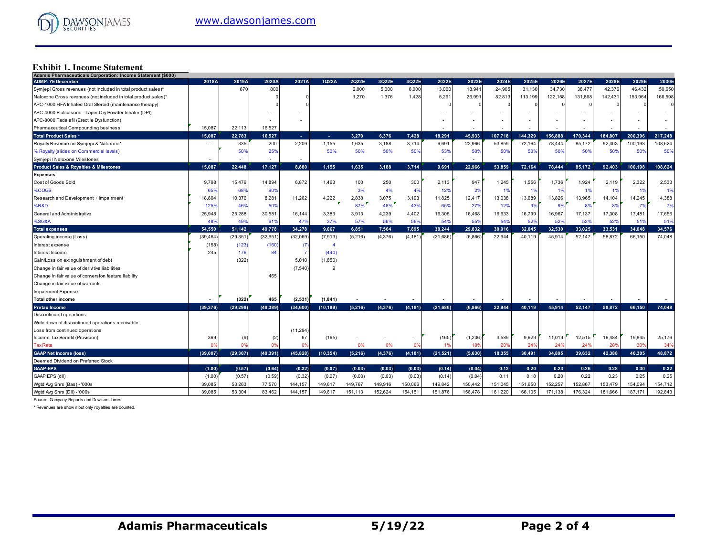## **Exhibit 1. Income Statement Adamis Pharmaceuticals Corporation: Income Statement (\$000)**

| $\alpha$ and $\alpha$ and $\alpha$ and $\alpha$ and $\alpha$ and $\alpha$ and $\alpha$ and $\alpha$ and $\alpha$ and $\alpha$ and $\alpha$ and $\alpha$<br><b>ADMP: YE December</b> | 2018A     | 2019A          | 2020A          | 2021A        | 1Q22A        | 2Q22E           | 3Q22E        | 4Q22E                    | 2022E     | 2023E                    | 2024E   | 2025E   | 2026E   | 2027E   | 2028E          | 2029E   | 2030E   |
|-------------------------------------------------------------------------------------------------------------------------------------------------------------------------------------|-----------|----------------|----------------|--------------|--------------|-----------------|--------------|--------------------------|-----------|--------------------------|---------|---------|---------|---------|----------------|---------|---------|
| Symjepi Gross revenues (not included in total product sales)*                                                                                                                       |           | 670            | 800            |              |              | 2,000           | 5,000        | 6,000                    | 13,000    | 18,941                   | 24,905  | 31,130  | 34,730  | 38,477  | 42,376         | 46,432  | 50,650  |
| Naloxone Gross revenues (not included in total product sales)*                                                                                                                      |           |                |                |              |              | 1,270           | 1,376        | 1,428                    | 5,291     | 26,991                   | 82,813  | 113,199 | 122,158 | 131,868 | 142,431        | 153,964 | 166,598 |
| APC-1000 HFA Inhaled Oral Steroid (maintenance therapy)                                                                                                                             |           |                |                |              |              |                 |              |                          |           |                          |         |         |         |         |                |         |         |
| APC-4000 Fluticasone - Taper Dry Powder Inhaler (DPI)                                                                                                                               |           |                |                |              |              |                 |              |                          |           |                          |         |         |         |         |                |         |         |
| APC-8000 Tadalafil (Erectile Dysfunction)                                                                                                                                           |           |                |                |              |              |                 |              |                          |           |                          |         |         |         |         |                |         |         |
| Pharmaceutical Compounding business                                                                                                                                                 | 15,087    | 22.113         | 16,527         |              |              |                 |              |                          |           |                          |         |         |         |         |                |         |         |
| <b>Total Product Sales *</b>                                                                                                                                                        | 15.087    | 22,783         | 16.527         | х.           | $\sim$       | 3.270           | 6.376        | 7,428                    | 18.291    | 45.933                   | 107.718 | 144.329 | 156.888 | 170.344 | 184.807        | 200.396 | 217,248 |
| Royalty Revenue on Symjepi & Naloxone*                                                                                                                                              |           | 335            | 200            | 2,209        | 1,155        | 1,635           | 3,188        | 3,714                    | 9,691     | 22,966                   | 53,859  | 72,164  | 78,444  | 85,172  | 92,403         | 100,198 | 108,624 |
| % Royalty (slides on Commercial levels)                                                                                                                                             |           | 50%            | 25%            |              | 50%          | 50%             | 50%          | 50%                      | 53%       | 50%                      | 50%     | 50%     | 50%     | 50%     | 50%            | 50%     | 50%     |
|                                                                                                                                                                                     |           |                |                |              |              |                 |              |                          |           |                          |         |         |         |         |                |         |         |
| Symjepi / Naloxone Milestones                                                                                                                                                       |           | $\blacksquare$ |                | $\sim$       |              |                 |              |                          |           | $\overline{\phantom{a}}$ |         |         |         |         |                |         |         |
| <b>Product Sales &amp; Royalties &amp; Milestones</b>                                                                                                                               | 15,087    | 22,448         | 17,127         | 8,880        | 1,155        | 1,635           | 3,188        | 3,714                    | 9,691     | 22,966                   | 53,859  | 72,164  | 78,444  | 85,172  | 92,403         | 100,198 | 108,624 |
| <b>Expenses</b>                                                                                                                                                                     |           | 15,479         |                | 6,872        | 1,463        |                 |              |                          |           |                          |         |         |         |         |                | 2,322   | 2,533   |
| Cost of Goods Sold                                                                                                                                                                  | 9,798     |                | 14,894         |              |              | 100<br>3%       | 250          | 300                      | 2,113     | 947                      | 1,245   | 1,556   | 1,736   | 1,924   | 2,119          |         |         |
| %COGS                                                                                                                                                                               | 65%       | 68%            | 90%            |              |              |                 | 4%           | 4%                       | 12%       | 2%                       | 1%      | 1%      | 1%      | 1%      | -19            | 1%      | 1%      |
| Research and Development + Impairment                                                                                                                                               | 18,804    | 10,376         | 8,281          | 11,262       | 4,222        | 2,838<br>$87\%$ | 3,075<br>48% | 3,193                    | 11,825    | 12,417                   | 13,038  | 13,689  | 13,826  | 13,965  | 14,104         | 14,245  | 14,388  |
| %R&D                                                                                                                                                                                | 125%      | 46%            | 50%            |              |              |                 |              | 43%                      | 65%       | 279                      | 12%     | 99      | 9%      | 8%      | 8 <sup>0</sup> | 7%      | 7%      |
| General and Administrative                                                                                                                                                          | 25,948    | 25,288         | 30,581         | 16,144       | 3,383        | 3,913           | 4,239        | 4,402                    | 16,305    | 16,468                   | 16,633  | 16,799  | 16,967  | 17,137  | 17,308         | 17,481  | 17,656  |
| %SG&A                                                                                                                                                                               | 48%       | 49%            | 619            | 47%          | 37%          | 57%             | 56%          | 56%                      | 54%       | 55%                      | 54%     | 52%     | 52%     | 52%     | 52%            | 519     | 51%     |
| <b>Total expenses</b>                                                                                                                                                               | 54,550    | 51,142         | 49,778         | 34,278       | 9,067        | 6,851           | 7,564        | 7,895                    | 30,244    | 29,832                   | 30,916  | 32,045  | 32,530  | 33,025  | 33,531         | 34,048  | 34,576  |
| Operating income (Loss)                                                                                                                                                             | (39,464   | (29, 351)      | (32, 651)      | (32,069)     | (7, 913)     | (5,216)         | (4,376)      | (4, 181)                 | (21, 686) | (6,866)                  | 22,944  | 40.119  | 45,914  | 52.147  | 58.872         | 66,150  | 74,048  |
| Interest expense                                                                                                                                                                    | (158)     | (123)          | (160)          | $\sqrt{7}$   |              |                 |              |                          |           |                          |         |         |         |         |                |         |         |
| Interest Income                                                                                                                                                                     | 245       | 176            | 84             |              | (440)        |                 |              |                          |           |                          |         |         |         |         |                |         |         |
| Gain/Loss on extinguishment of debt                                                                                                                                                 |           | (322)          |                | 5,010        | (1,850)      |                 |              |                          |           |                          |         |         |         |         |                |         |         |
| Change in fair value of derivitive liabilities                                                                                                                                      |           |                |                | (7.540)      | $\mathsf{Q}$ |                 |              |                          |           |                          |         |         |         |         |                |         |         |
| Change in fair value of conversion feature liability                                                                                                                                |           |                | 465            |              |              |                 |              |                          |           |                          |         |         |         |         |                |         |         |
| Change in fair value of warrants                                                                                                                                                    |           |                |                |              |              |                 |              |                          |           |                          |         |         |         |         |                |         |         |
| <b>Impairment Expense</b>                                                                                                                                                           |           |                |                |              |              |                 |              |                          |           |                          |         |         |         |         |                |         |         |
| <b>Total other income</b>                                                                                                                                                           |           | (322)          | 465            | (2,531)      | (1, 841)     |                 |              |                          |           |                          |         |         |         |         |                |         |         |
| <b>Pretax Income</b>                                                                                                                                                                | (39, 376) | (29, 298)      | (49, 389)      | (34, 600)    | (10, 189)    | (5,216)         | (4,376)      | (4, 181)                 | (21, 686) | (6,866)                  | 22.944  | 40,119  | 45,914  | 52,147  | 58.872         | 66,150  | 74.048  |
| Discontinued opeartions                                                                                                                                                             |           |                |                |              |              |                 |              |                          |           |                          |         |         |         |         |                |         |         |
| Write down of discontinued operations receivable                                                                                                                                    |           |                |                |              |              |                 |              |                          |           |                          |         |         |         |         |                |         |         |
| Loss from continued operations                                                                                                                                                      |           |                |                | (11, 294)    |              |                 |              |                          |           |                          |         |         |         |         |                |         |         |
| Income Tax Benefit (Provision)                                                                                                                                                      | 369       | (9             | (2)            | 67           | (165)        |                 |              | $\overline{\phantom{a}}$ | (165)     | (1,236)                  | 4,589   | 9,629   | 11,019  | 12,515  | 16,484         | 19,845  | 25,176  |
| <b>Tax Rate</b>                                                                                                                                                                     | 0%        | n              | 0 <sup>9</sup> | <sub>0</sub> |              | 0%              | 0%           | $\mathbf{0}^{\prime}$    | 1%        | 18%                      | 20%     | 24%     | 24%     | 24%     | 28%            | 30%     | 34%     |
| <b>GAAP Net Income (loss)</b>                                                                                                                                                       | (39,007)  | (29, 307)      | (49, 391)      | (45, 828)    | (10, 354)    | (5, 216)        | (4, 376)     | (4, 181)                 | (21, 521) | (5,630)                  | 18.355  | 30,491  | 34.895  | 39.632  | 42.388         | 46.305  | 48,872  |
| Deemed Dividend on Preferred Stock                                                                                                                                                  |           |                |                |              |              |                 |              |                          |           |                          |         |         |         |         |                |         |         |
| <b>GAAP-EPS</b>                                                                                                                                                                     | (1.00)    | (0.57)         | (0.64)         | (0.32)       | (0.07)       | (0.03)          | (0.03)       | (0.03)                   | (0.14)    | (0.04)                   | 0.12    | 0.20    | 0.23    | 0.26    | 0.28           | 0.30    | 0.32    |
| GAAP EPS (dil)                                                                                                                                                                      | (1.00)    | (0.57)         | (0.59)         | (0.32)       | (0.07)       | (0.03)          | (0.03)       | (0.03)                   | (0.14)    | (0.04)                   | 0.11    | 0.18    | 0.20    | 0.22    | 0.23           | 0.25    | 0.25    |
| Wgtd Avg Shrs (Bas) - '000s                                                                                                                                                         | 39,085    | 53.263         | 77,570         | 144,157      | 149,617      | 149,767         | 149,916      | 150,066                  | 149,842   | 150,442                  | 151,045 | 151,650 | 152,257 | 152,867 | 153,479        | 154,094 | 154,712 |
| Wgtd Avg Shrs (Dil) - '000s                                                                                                                                                         | 39,085    | 53.304         | 83,462         | 144,157      | 149,617      | 151,113         | 152,624      | 154,151                  | 151,876   | 156,478                  | 161,220 | 166,105 | 171,138 | 176,324 | 181,666        | 187,171 | 192,843 |

Source: Company Reports and Daw son James

\* Revenues are show n but only royalties are counted.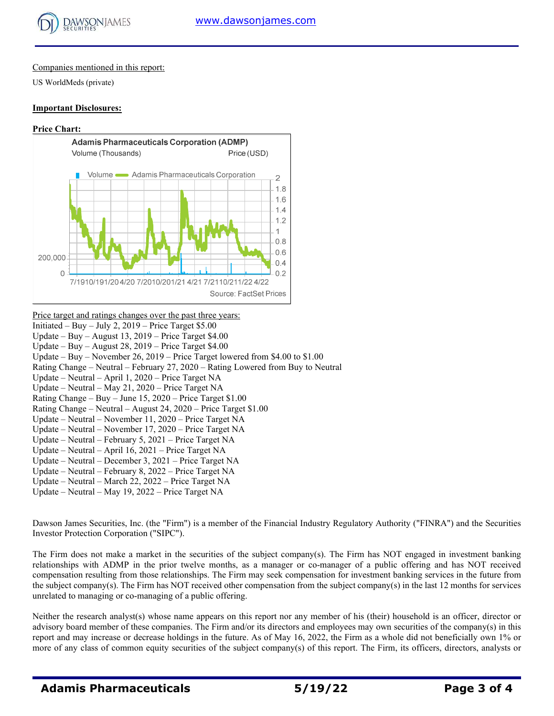

#### Companies mentioned in this report:

US WorldMeds (private)

#### **Important Disclosures:**

#### **Price Chart:**



Initiated – Buy – July 2,  $2019$  – Price Target \$5.00 Update – Buy – August 13, 2019 – Price Target \$4.00 Update – Buy – August 28, 2019 – Price Target \$4.00 Update – Buy – November 26, 2019 – Price Target lowered from \$4.00 to \$1.00 Rating Change – Neutral – February 27, 2020 – Rating Lowered from Buy to Neutral Update – Neutral – April 1, 2020 – Price Target NA Update – Neutral – May 21, 2020 – Price Target NA Rating Change – Buy – June 15, 2020 – Price Target \$1.00

- Rating Change Neutral August 24, 2020 Price Target \$1.00
- Update Neutral November 11, 2020 Price Target NA

Price target and ratings changes over the past three years:

- Update Neutral November 17, 2020 Price Target NA
- Update Neutral February 5, 2021 Price Target NA
- Update Neutral April 16, 2021 Price Target NA
- Update Neutral December 3, 2021 Price Target NA
- Update Neutral February 8, 2022 Price Target NA
- Update Neutral March 22, 2022 Price Target NA
- Update Neutral May 19, 2022 Price Target NA

Dawson James Securities, Inc. (the "Firm") is a member of the Financial Industry Regulatory Authority ("FINRA") and the Securities Investor Protection Corporation ("SIPC").

The Firm does not make a market in the securities of the subject company(s). The Firm has NOT engaged in investment banking relationships with ADMP in the prior twelve months, as a manager or co-manager of a public offering and has NOT received compensation resulting from those relationships. The Firm may seek compensation for investment banking services in the future from the subject company(s). The Firm has NOT received other compensation from the subject company(s) in the last 12 months for services unrelated to managing or co-managing of a public offering.

Neither the research analyst(s) whose name appears on this report nor any member of his (their) household is an officer, director or advisory board member of these companies. The Firm and/or its directors and employees may own securities of the company(s) in this report and may increase or decrease holdings in the future. As of May 16, 2022, the Firm as a whole did not beneficially own 1% or more of any class of common equity securities of the subject company(s) of this report. The Firm, its officers, directors, analysts or